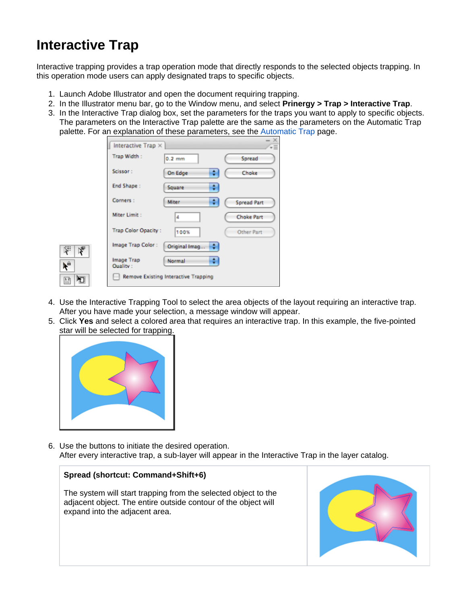## **Interactive Trap**

Interactive trapping provides a trap operation mode that directly responds to the selected objects trapping. In this operation mode users can apply designated traps to specific objects.

- 1. Launch Adobe Illustrator and open the document requiring trapping.
- 2. In the Illustrator menu bar, go to the Window menu, and select **Prinergy > Trap > Interactive Trap**.
- 3. In the Interactive Trap dialog box, set the parameters for the traps you want to apply to specific objects. The parameters on the Interactive Trap palette are the same as the parameters on the Automatic Trap palette. For an explanation of these parameters, see the [Automatic Trap](https://workflowhelp.kodak.com/display/PT101/Automatic+Trap) page.

|    | Interactive $\text{Trap} \times$ |                                             |                    | X<br>Ψ≣ |
|----|----------------------------------|---------------------------------------------|--------------------|---------|
|    | Trap Width:                      | $0.2$ mm                                    | Spread             |         |
|    | Scissor:                         | ٥<br>On Edge                                | Choke              |         |
|    | End Shape:                       | ٥<br>Square                                 |                    |         |
|    | Corners:                         | Miter<br>٥                                  | <b>Spread Part</b> |         |
|    | Miter Limit:                     | 4                                           | <b>Choke Part</b>  |         |
|    | <b>Trap Color Opacity:</b>       | 100%                                        | <b>Other Part</b>  |         |
| ķ. | Image Trap Color:                | ٠<br>Original Imag                          |                    |         |
|    | Image Trap<br>Ouality:           | ٥<br>Normal                                 |                    |         |
| Ő  |                                  | <b>Remove Existing Interactive Trapping</b> |                    |         |

- 4. Use the Interactive Trapping Tool to select the area objects of the layout requiring an interactive trap. After you have made your selection, a message window will appear.
- 5. Click **Yes** and select a colored area that requires an interactive trap. In this example, the five-pointed star will be selected for trapping.



**Spread (shortcut: Command+Shift+6)**

expand into the adjacent area.

6. Use the buttons to initiate the desired operation. After every interactive trap, a sub-layer will appear in the Interactive Trap in the layer catalog.

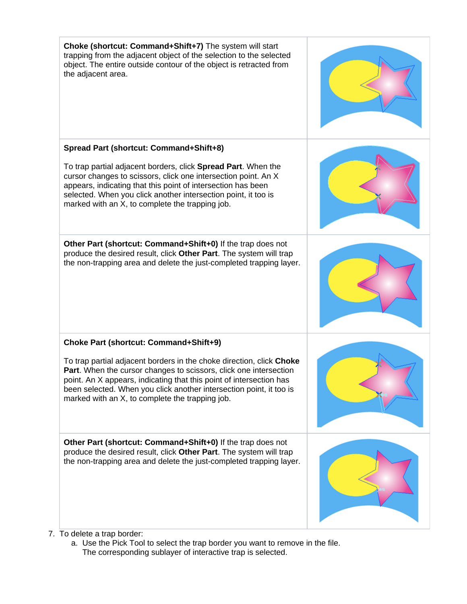

a. Use the Pick Tool to select the trap border you want to remove in the file. The corresponding sublayer of interactive trap is selected.